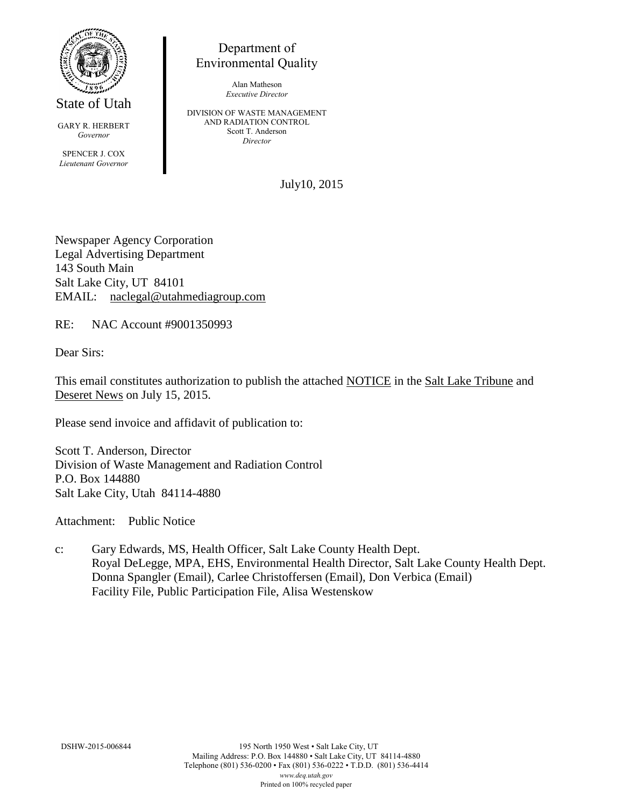

State of Utah

GARY R. HERBERT *Governor* SPENCER J. COX *Lieutenant Governor*

Department of Environmental Quality

> Alan Matheson *Executive Director*

DIVISION OF WASTE MANAGEMENT AND RADIATION CONTROL Scott T. Anderson *Director*

July10, 2015

Newspaper Agency Corporation Legal Advertising Department 143 South Main Salt Lake City, UT 84101 EMAIL: naclegal@utahmediagroup.com

RE: NAC Account #9001350993

Dear Sirs:

This email constitutes authorization to publish the attached NOTICE in the Salt Lake Tribune and Deseret News on July 15, 2015.

Please send invoice and affidavit of publication to:

Scott T. Anderson, Director Division of Waste Management and Radiation Control P.O. Box 144880 Salt Lake City, Utah 84114-4880

Attachment: Public Notice

c: Gary Edwards, MS, Health Officer, Salt Lake County Health Dept. Royal DeLegge, MPA, EHS, Environmental Health Director, Salt Lake County Health Dept. Donna Spangler (Email), Carlee Christoffersen (Email), Don Verbica (Email) Facility File, Public Participation File, Alisa Westenskow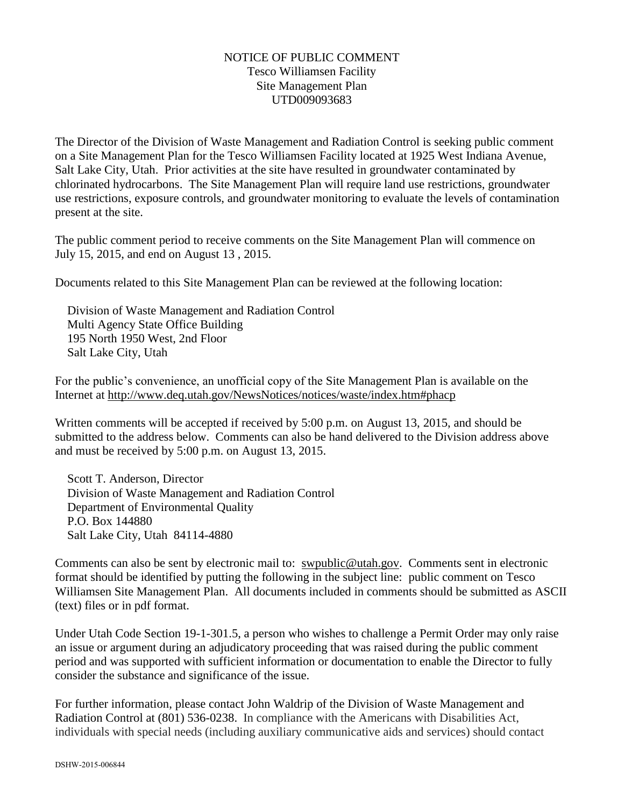## NOTICE OF PUBLIC COMMENT Tesco Williamsen Facility Site Management Plan UTD009093683

The Director of the Division of Waste Management and Radiation Control is seeking public comment on a Site Management Plan for the Tesco Williamsen Facility located at 1925 West Indiana Avenue, Salt Lake City, Utah. Prior activities at the site have resulted in groundwater contaminated by chlorinated hydrocarbons. The Site Management Plan will require land use restrictions, groundwater use restrictions, exposure controls, and groundwater monitoring to evaluate the levels of contamination present at the site.

The public comment period to receive comments on the Site Management Plan will commence on July 15, 2015, and end on August 13 , 2015.

Documents related to this Site Management Plan can be reviewed at the following location:

Division of Waste Management and Radiation Control Multi Agency State Office Building 195 North 1950 West, 2nd Floor Salt Lake City, Utah

For the public's convenience, an unofficial copy of the Site Management Plan is available on the Internet at http://www.deq.utah.gov/NewsNotices/notices/waste/index.htm#phacp

Written comments will be accepted if received by 5:00 p.m. on August 13, 2015, and should be submitted to the address below. Comments can also be hand delivered to the Division address above and must be received by 5:00 p.m. on August 13, 2015.

Scott T. Anderson, Director Division of Waste Management and Radiation Control Department of Environmental Quality P.O. Box 144880 Salt Lake City, Utah 84114-4880

Comments can also be sent by electronic mail to: swpublic@utah.gov. Comments sent in electronic format should be identified by putting the following in the subject line: public comment on Tesco Williamsen Site Management Plan. All documents included in comments should be submitted as ASCII (text) files or in pdf format.

Under Utah Code Section 19-1-301.5, a person who wishes to challenge a Permit Order may only raise an issue or argument during an adjudicatory proceeding that was raised during the public comment period and was supported with sufficient information or documentation to enable the Director to fully consider the substance and significance of the issue.

For further information, please contact John Waldrip of the Division of Waste Management and Radiation Control at (801) 536-0238. In compliance with the Americans with Disabilities Act, individuals with special needs (including auxiliary communicative aids and services) should contact